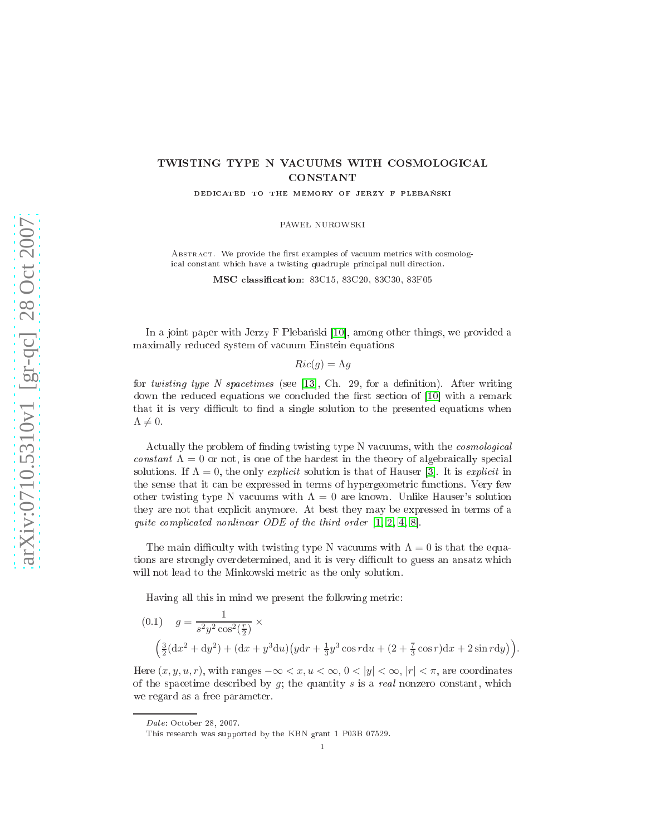# TWISTING TYPE N VACUUMS WITH COSMOLOGICAL CONSTANT

DEDICATED TO THE MEMORY OF JERZY F PLEBANSKI

PAWEŁ NUROWSKI

ABSTRACT. We provide the first examples of vacuum metrics with cosmological constant which have a twisting quadruple principal null direction.

MSC lassi
ation: 83C15, 83C20, 83C30, 83F05

In a joint paper with Jerzy F Plebański  $[10]$ , among other things, we provided a maximally reduced system of vacuum Einstein equations

 $Ric(g) = \Lambda g$ 

for twisting type N spacetimes (see [13], Ch. 29, for a definition). After writing down the reduced equations we concluded the first section of [10] with a remark that it is very difficult to find a single solution to the presented equations when  $\Lambda \neq 0.$ 

Actually the problem of finding twisting type N vacuums, with the *cosmological* constant  $\Lambda = 0$  or not, is one of the hardest in the theory of algebraically special solutions. If  $\Lambda = 0$ , the only explicit solution is that of Hauser [3]. It is explicit in the sense that it can be expressed in terms of hypergeometric functions. Very few other twisting type N vacuums with  $\Lambda = 0$  are known. Unlike Hauser's solution they are not that expli
it anymore. At best they may be expressed in terms of a ated nonlinear ODE of third order  $\alpha$ 

The main difficulty with twisting type N vacuums with  $\Lambda = 0$  is that the equations are strongly overdetermined, and it is very difficult to guess an ansatz which will not lead to the Minkowski metri as the only solution.

Having all this in mind we present the following metri
:

<span id="page-0-0"></span>(0.1) 
$$
g = \frac{1}{s^2 y^2 \cos^2(\frac{r}{2})} \times \left(\frac{3}{2}(\mathrm{d}x^2 + \mathrm{d}y^2) + (\mathrm{d}x + y^3 \mathrm{d}u)(y\mathrm{d}r + \frac{1}{3}y^3 \cos r \mathrm{d}u + (2 + \frac{7}{3}\cos r)\mathrm{d}x + 2\sin r \mathrm{d}y)\right).
$$

Here  $(x, y, u, r)$ , with ranges  $-\infty < x, u < \infty, 0 < |y| < \infty, |r| < \pi$ , are coordinates of the spacetime described by  $g$ ; the quantity  $s$  is a real nonzero constant, which we regard as a free parameter.

Date: October 28, 2007. Date: O
tober 28, 2007.

1

This resear
h was supported by the KBN grant 1 P03B 07529.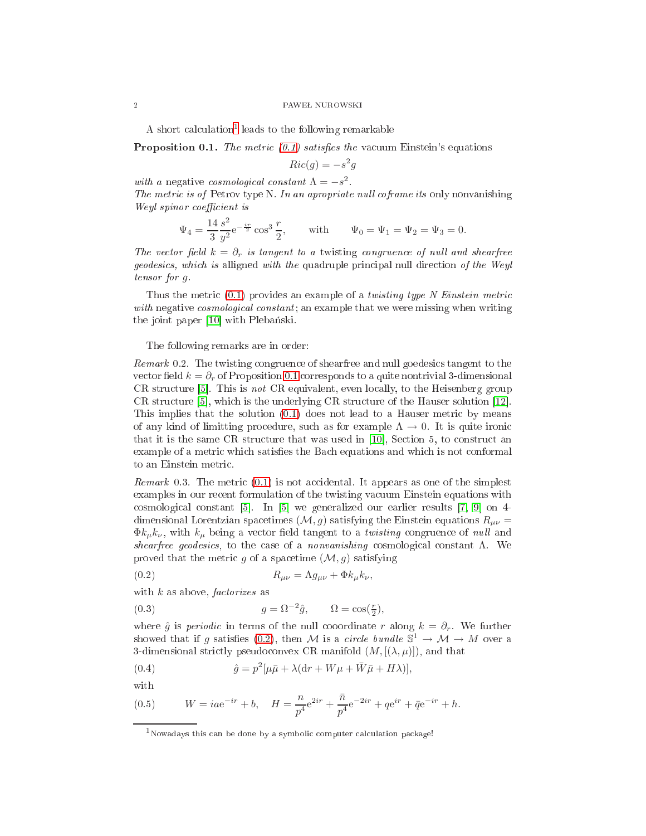### ${\small 2}\hskip2cm {\small 2}\hskip-2.5cm {\small 2}\hskip-2.5cm {\small 2}\hskip-2.5cm {\small 2}\hskip-2.5cm {\small 2}\hskip-2.5cm {\small 2}\hskip-2.5cm {\small 2}\hskip-2.5cm {\small 2}\hskip-2.5cm {\small 2}\hskip-2.5cm {\small 2}\hskip-2.5cm {\small 2}\hskip-2.5cm {\small 2}\hskip-2.5cm {\small 2}\hskip-2.5cm {\small 2}\hskip-2.5cm {\small 2}\hskip-2.5cm {\small 2}\hskip-2.5cm {\small 2}\hskip-2.5cm {\small 2}\hskip$

<span id="page-1-1"></span>A short calculation<sup>[1](#page-1-0)</sup> leads to the following remarkable

**Proposition 0.1.** The metric  $(0.1)$  satisfies the vacuum Einstein's equations

$$
Ric(g) = -s^2g
$$

with a negative cosmological constant  $\Lambda = -s^2$ . The metri is of Petrov type N. In an apropriate nul l oframe its only nonvanishing Weyl spinor oe
ient is

$$
\Psi_4 = \frac{14}{3} \frac{s^2}{y^2} e^{-\frac{ir}{2}} \cos^3 \frac{r}{2},
$$
 with  $\Psi_0 = \Psi_1 = \Psi_2 = \Psi_3 = 0.$ 

The vector field  $k = \partial_r$  is tangent to a twisting congruence of null and shearfree geodesi
s, whi
h is alligned with the quadruple prin
ipal null dire
tion of the Weyl tensor for g.

Thus the metric  $(0.1)$  provides an example of a *twisting type N Einstein metric* onstant in all all an example that we were missing when we were missing when we were missing the joint paper [10] with Plebański.

## The following remarks are in order:

remark of shearfree and number of shearfree and number to the shearfree and number of the shearf vector field  $k = \partial_r$  of Proposition [0.1](#page-1-1) corresponds to a quite nontrivial 3-dimensional  $CR$  structure [5]. This is not  $CR$  equivalent, even locally, to the Heisenberg group CR structure  $[5]$ , which is the underlying CR structure of the Hauser solution  $[12]$ . This implies that the solution  $(0.1)$  does not lead to a Hauser metric by means of any kind of limitting procedure, such as for example  $\Lambda \to 0$ . It is quite ironic that it is the same CR structure that was used in  $[10]$ , Section 5, to construct an example of a metric which satisfies the Bach equations and which is not conformal to an Einstein metri
.

remark organizations [\(0.1\)](#page-0-0) is not assumed the simple simple in the simple of the simplest  $\sim$ examples in our re
ent formulation of the twisting va
uum Einstein equations with cosmological constant  $[5]$ . In  $[5]$  we generalized our earlier results  $[7, 9]$  $[7, 9]$  on 4dimensional Lorentzian spacetimes  $(M, g)$  satisfying the Einstein equations  $R_{\mu\nu} =$  $\Phi k_{\mu}k_{\nu}$ , with  $k_{\mu}$  being a vector field tangent to a *twisting* congruence of *null* and shearfree geodesics, to the case of a nonvanishing cosmological constant  $\Lambda$ . We proved that the metric g of a spacetime  $(\mathcal{M}, g)$  satisfying

<span id="page-1-2"></span>
$$
(0.2) \t\t R_{\mu\nu} = \Lambda g_{\mu\nu} + \Phi k_{\mu} k_{\nu},
$$

with  $k$  as above, *factorizes* as

<span id="page-1-3"></span>(0.3) 
$$
g = \Omega^{-2} \hat{g}, \qquad \Omega = \cos(\frac{r}{2}),
$$

where  $\hat{g}$  is *periodic* in terms of the null cooordinate r along  $k = \partial_r$ . We further showed that if g satisfies [\(0.2\)](#page-1-2), then M is a circle bundle  $\mathbb{S}^1 \to \mathcal{M} \to M$  over a 3-dimensional strictly pseudoconvex CR manifold  $(M, [(\lambda, \mu)])$ , and that

(0.4) 
$$
\hat{g} = p^2[\mu \bar{\mu} + \lambda(\mathrm{d}r + W\mu + \bar{W}\bar{\mu} + H\lambda)],
$$

with

(0.5) 
$$
W = iae^{-ir} + b, \quad H = \frac{n}{p^4}e^{2ir} + \frac{\bar{n}}{p^4}e^{-2ir} + qe^{ir} + \bar{q}e^{-ir} + h.
$$

<span id="page-1-0"></span><sup>&</sup>lt;sup>1</sup>Nowadays this can be done by a symbolic computer calculation package!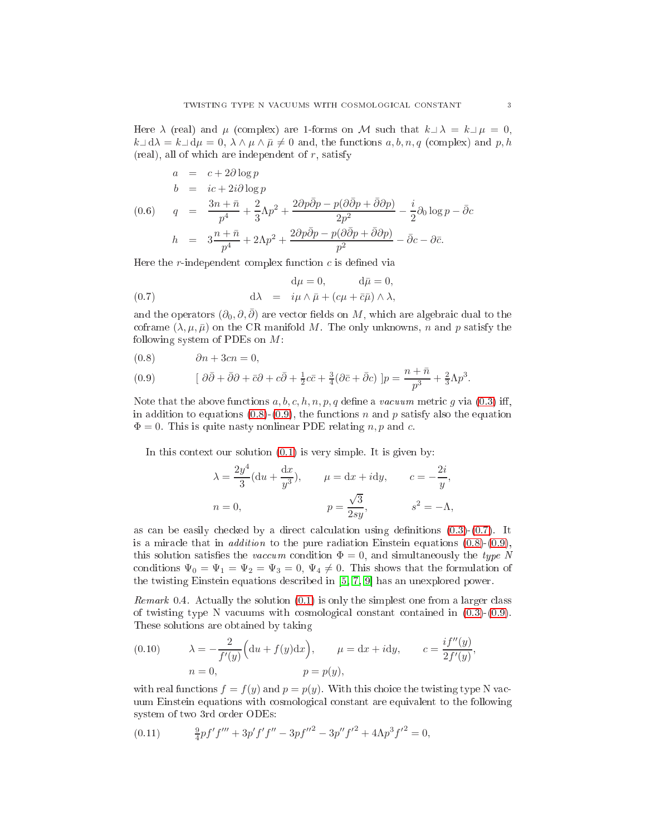Here  $\lambda$  (real) and  $\mu$  (complex) are 1-forms on M such that  $k \perp \lambda = k \perp \mu = 0$ ,  $k\Box d\lambda = k\Box d\mu = 0, \ \lambda \wedge \mu \wedge \bar{\mu} \neq 0$  and, the functions  $a, b, n, q$  (complex) and  $p, h$  $(red)$ , all of which are independent of r, satisfy

<span id="page-2-3"></span>
$$
a = c + 2\partial \log p
$$
  
\n
$$
b = ic + 2i\partial \log p
$$
  
\n
$$
(0.6) \quad q = \frac{3n + \bar{n}}{p^4} + \frac{2}{3}\Lambda p^2 + \frac{2\partial p\bar{\partial}p - p(\partial \bar{\partial}p + \bar{\partial}\partial p)}{2p^2} - \frac{i}{2}\partial_0 \log p - \bar{\partial}c
$$
  
\n
$$
h = 3\frac{n + \bar{n}}{p^4} + 2\Lambda p^2 + \frac{2\partial p\bar{\partial}p - p(\partial \bar{\partial}p + \bar{\partial}\partial p)}{p^2} - \bar{\partial}c - \partial \bar{c}.
$$

Here the  $r$ -independent complex function  $c$  is defined via

<span id="page-2-1"></span>(0.7) 
$$
d\mu = 0, \qquad d\bar{\mu} = 0,
$$

$$
d\lambda = i\mu \wedge \bar{\mu} + (c\mu + \bar{c}\bar{\mu}) \wedge \lambda,
$$

and the operators  $(\partial_0, \partial, \overline{\partial})$  are vector fields on M, which are algebraic dual to the coframe  $(\lambda, \mu, \bar{\mu})$  on the CR manifold M. The only unknowns, n and p satisfy the following system of PDEs on  $M$ :

<span id="page-2-0"></span>
$$
(0.8) \qquad \partial n + 3cn = 0,
$$

(0.9) 
$$
[\partial \bar{\partial} + \bar{\partial}\partial + \bar{c}\partial + c\bar{\partial} + \frac{1}{2}c\bar{c} + \frac{3}{4}(\partial \bar{c} + \bar{\partial}c)]p = \frac{n + \bar{n}}{p^3} + \frac{2}{3}\Lambda p^3.
$$

Note that the above functions  $a, b, c, h, n, p, q$  define a *vacuum* metric q via [\(0.3\)](#page-1-3) iff, in addition to equations  $(0.8)-(0.9)$  $(0.8)-(0.9)$  $(0.8)-(0.9)$ , the functions n and p satisfy also the equation  $\Phi = 0$ . This is quite nasty nonlinear PDE relating n, p and c.

In this context our solution  $(0.1)$  is very simple. It is given by:

$$
\lambda = \frac{2y^4}{3}(\mathrm{d}u + \frac{\mathrm{d}x}{y^3}), \qquad \mu = \mathrm{d}x + i\mathrm{d}y, \qquad c = -\frac{2i}{y},
$$
  

$$
n = 0, \qquad p = \frac{\sqrt{3}}{2sy}, \qquad s^2 = -\Lambda,
$$

as can be easily checked by a direct calculation using definitions  $(0.3)-(0.7)$  $(0.3)-(0.7)$  $(0.3)-(0.7)$ . It is a miracle that in *addition* to the pure radiation Einstein equations  $(0.8)-(0.9)$  $(0.8)-(0.9)$  $(0.8)-(0.9)$ , this solution satisfies the *vaccum* condition  $\Phi = 0$ , and simultaneously the type N conditions  $\Psi_0 = \Psi_1 = \Psi_2 = \Psi_3 = 0$ ,  $\Psi_4 \neq 0$ . This shows that the formulation of the twisting Einstein equations described in  $[5, 7, 9]$  $[5, 7, 9]$  $[5, 7, 9]$  $[5, 7, 9]$  has an unexplored power.

Remark 0.4. A
tually the solution [\(0.1\)](#page-0-0) is only the simplest one from a larger lass of twisting type N vacuums with cosmological constant contained in  $(0.3)-(0.9)$  $(0.3)-(0.9)$  $(0.3)-(0.9)$ . These solutions are obtained by taking

<span id="page-2-2"></span>(0.10) 
$$
\lambda = -\frac{2}{f'(y)} \Big( du + f(y) dx \Big), \qquad \mu = dx + idy, \qquad c = \frac{if''(y)}{2f'(y)},
$$

$$
n = 0, \qquad p = p(y),
$$

with real functions  $f = f(y)$  and  $p = p(y)$ . With this choice the twisting type N vacuum Einstein equations with osmologi
al onstant are equivalent to the following system of two 3rd order ODEs:

<span id="page-2-4"></span>(0.11) 
$$
\frac{9}{4}pf'f''' + 3p'f'f'' - 3pf''^2 - 3p''f'^2 + 4\Lambda p^3f'^2 = 0,
$$